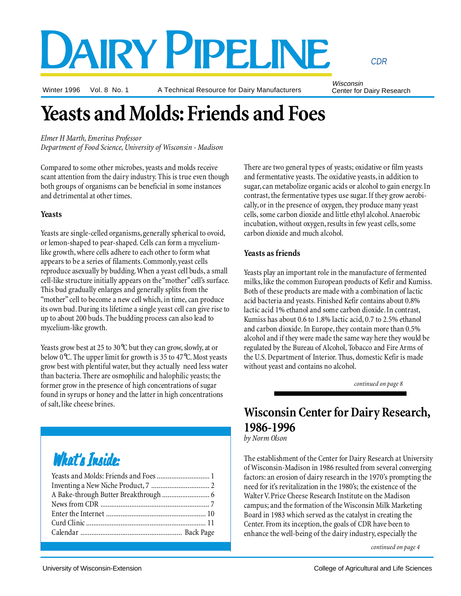# DAIRY PIPELINE

Winter 1996 Vol. 8 No. 1

A Technical Resource for Dairy Manufacturers

Wisconsin Center for Dairy Research

*CDR*

# **Yeasts and Molds: Friends and Foes**

*Elmer H Marth, Emeritus Professor Department of Food Science, University of Wisconsin - Madison*

Compared to some other microbes, yeasts and molds receive scant attention from the dairy industry. This is true even though both groups of organisms can be beneficial in some instances and detrimental at other times.

#### **Yeasts**

Yeasts are single-celled organisms, generally spherical to ovoid, or lemon-shaped to pear-shaped. Cells can form a myceliumlike growth, where cells adhere to each other to form what appears to be a series of filaments. Commonly, yeast cells reproduce asexually by budding. When a yeast cell buds, a small cell-like structure initially appears on the "mother" cell's surface. This bud gradually enlarges and generally splits from the "mother" cell to become a new cell which, in time, can produce its own bud. During its lifetime a single yeast cell can give rise to up to about 200 buds. The budding process can also lead to mycelium-like growth.

Yeasts grow best at 25 to 30°C but they can grow, slowly, at or below 0°C. The upper limit for growth is 35 to 47°C. Most yeasts grow best with plentiful water, but they actually need less water than bacteria. There are osmophilic and halophilic yeasts; the former grow in the presence of high concentrations of sugar found in syrups or honey and the latter in high concentrations of salt, like cheese brines.

# What's Inside:

There are two general types of yeasts; oxidative or film yeasts and fermentative yeasts. The oxidative yeasts, in addition to sugar, can metabolize organic acids or alcohol to gain energy. In contrast, the fermentative types use sugar. If they grow aerobically, or in the presence of oxygen, they produce many yeast cells, some carbon dioxide and little ethyl alcohol. Anaerobic incubation, without oxygen, results in few yeast cells, some carbon dioxide and much alcohol.

### **Yeasts as friends**

Yeasts play an important role in the manufacture of fermented milks, like the common European products of Kefir and Kumiss. Both of these products are made with a combination of lactic acid bacteria and yeasts. Finished Kefir contains about 0.8% lactic acid 1% ethanol and some carbon dioxide. In contrast, Kumiss has about 0.6 to 1.8% lactic acid, 0.7 to 2.5% ethanol and carbon dioxide. In Europe, they contain more than 0.5% alcohol and if they were made the same way here they would be regulated by the Bureau of Alcohol, Tobacco and Fire Arms of the U.S. Department of Interior. Thus, domestic Kefir is made without yeast and contains no alcohol.

*continued on page 8*

### **Wisconsin Center for Dairy Research, 1986-1996**

*by Norm Olson*

The establishment of the Center for Dairy Research at University of Wisconsin-Madison in 1986 resulted from several converging factors: an erosion of dairy research in the 1970's prompting the need for it's revitalization in the 1980's; the existence of the Walter V. Price Cheese Research Institute on the Madison campus; and the formation of the Wisconsin Milk Marketing Board in 1983 which served as the catalyst in creating the Center. From its inception, the goals of CDR have been to enhance the well-being of the dairy industry, especially the

*continued on page 4*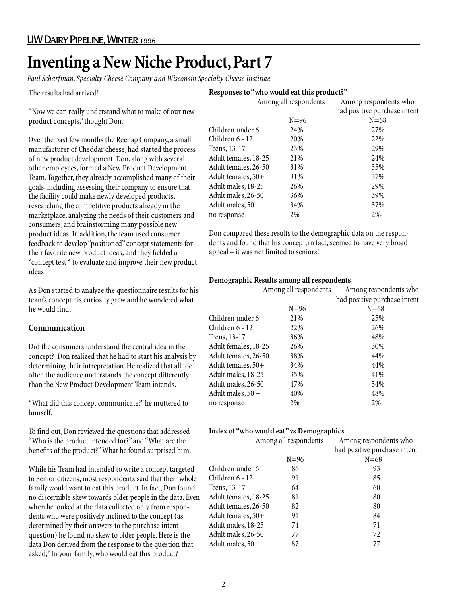### **Inventing a New Niche Product, Part 7**

*Paul Scharfman, Specialty Cheese Company and Wisconsin Specialty Cheese Institute*

The results had arrived!

**Responses to "who would eat this product?"**

"Now we can really understand what to make of our new product concepts," thought Don.

Over the past few months the Reenap Company, a small manufacturer of Cheddar cheese, had started the process of new product development. Don, along with several other employees, formed a New Product Development Team. Together, they already accomplished many of their goals, including assessing their company to ensure that the facility could make newly developed products, researching the competitive products already in the marketplace, analyzing the needs of their customers and consumers, and brainstorming many possible new product ideas. In addition, the team used consumer feedback to develop "positioned" concept statements for their favorite new product ideas, and they fielded a "concept test " to evaluate and improve their new product ideas.

As Don started to analyze the questionnaire results for his team's concept his curiosity grew and he wondered what he would find.

### **Communication**

Did the consumers understand the central idea in the concept? Don realized that he had to start his analysis by determining their intrepretation. He realized that all too often the audience understands the concept differently than the New Product Development Team intends.

"What did this concept communicate?" he muttered to himself.

To find out, Don reviewed the questions that addressed "Who is the product intended for?" and "What are the benefits of the product?" What he found surprised him.

While his Team had intended to write a concept targeted to Senior citizens, most respondents said that their whole family would want to eat this product. In fact, Don found no discernible skew towards older people in the data. Even when he looked at the data collected only from respondents who were positively inclined to the concept (as determined by their answers to the purchase intent question) he found no skew to older people. Here is the data Don derived from the response to the question that asked, "In your family, who would eat this product?

|                      | Among all respondents | Among respondents who        |
|----------------------|-----------------------|------------------------------|
|                      |                       | had positive purchase intent |
|                      | $N = 96$              | $N = 68$                     |
| Children under 6     | 24%                   | 27%                          |
| Children 6 - 12      | 20%                   | 22%                          |
| Teens, 13-17         | 23%                   | 29%                          |
| Adult females, 18-25 | 21%                   | 24%                          |
| Adult females, 26-50 | 31%                   | 35%                          |
| Adult females, 50+   | 31%                   | 37%                          |
| Adult males, 18-25   | 26%                   | 29%                          |
| Adult males, 26-50   | 36%                   | 39%                          |
| Adult males, $50 +$  | 34%                   | 37%                          |
| no response          | 2%                    | $2\%$                        |
|                      |                       |                              |

Don compared these results to the demographic data on the respondents and found that his concept, in fact, seemed to have very broad appeal – it was not limited to seniors!

#### **Demographic Results among all respondents**

|                      | Among all respondents | Among respondents who        |
|----------------------|-----------------------|------------------------------|
|                      |                       | had positive purchase intent |
|                      | $N = 96$              | $N = 68$                     |
| Children under 6     | 21%                   | 25%                          |
| Children 6 - 12      | 22%                   | 26%                          |
| Teens, 13-17         | 36%                   | 48%                          |
| Adult females, 18-25 | 26%                   | 30%                          |
| Adult females, 26-50 | 38%                   | 44%                          |
| Adult females, 50+   | 34%                   | 44%                          |
| Adult males, 18-25   | 35%                   | 41%                          |
| Adult males, 26-50   | 47%                   | 54%                          |
| Adult males, $50 +$  | 40%                   | 48%                          |
| no response          | 2%                    | $2\%$                        |
|                      |                       |                              |

#### **Index of "who would eat" vs Demographics**

| Among all respondents |          | Among respondents who                                                                                                                 |  |
|-----------------------|----------|---------------------------------------------------------------------------------------------------------------------------------------|--|
|                       |          | had positive purchase intent                                                                                                          |  |
|                       | $N = 96$ | $N = 68$                                                                                                                              |  |
| Children under 6      | 86       | 93                                                                                                                                    |  |
| Children $6 - 12$     | 91       | 85                                                                                                                                    |  |
| Teens, 13-17          | 64       | 60                                                                                                                                    |  |
|                       | 81       | 80                                                                                                                                    |  |
|                       | 82       | 80                                                                                                                                    |  |
|                       | 91       | 84                                                                                                                                    |  |
|                       | 74       | 71                                                                                                                                    |  |
|                       | 77       | 72                                                                                                                                    |  |
|                       | 87       | 77                                                                                                                                    |  |
|                       |          | Adult females, 18-25<br>Adult females, 26-50<br>Adult females, 50+<br>Adult males, 18-25<br>Adult males, 26-50<br>Adult males, $50 +$ |  |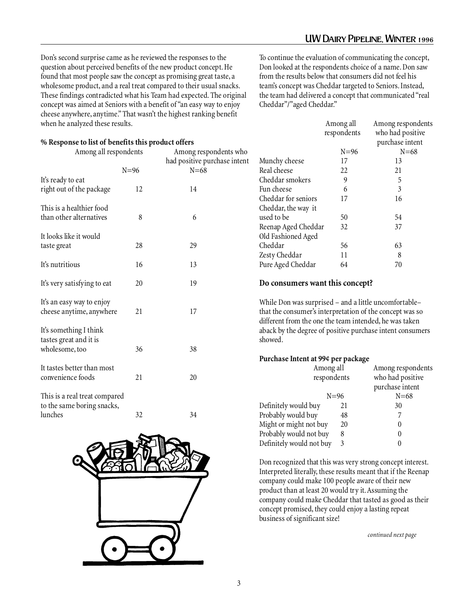Don's second surprise came as he reviewed the responses to the question about perceived benefits of the new product concept. He found that most people saw the concept as promising great taste, a wholesome product, and a real treat compared to their usual snacks. These findings contradicted what his Team had expected. The original concept was aimed at Seniors with a benefit of "an easy way to enjoy cheese anywhere, anytime." That wasn't the highest ranking benefit when he analyzed these results.

**% Response to list of benefits this product offers**

| Among all respondents                                                  |        | Among respondents who<br>had positive purchase intent |  |
|------------------------------------------------------------------------|--------|-------------------------------------------------------|--|
|                                                                        | $N=96$ | $N = 68$                                              |  |
| It's ready to eat<br>right out of the package                          | 12     | 14                                                    |  |
| This is a healthier food<br>than other alternatives                    | 8      | 6                                                     |  |
| It looks like it would<br>taste great                                  | 28     | 29                                                    |  |
| It's nutritious                                                        | 16     | 13                                                    |  |
| It's very satisfying to eat                                            | 20     | 19                                                    |  |
| It's an easy way to enjoy<br>cheese anytime, anywhere                  | 21     | 17                                                    |  |
| It's something I think<br>tastes great and it is<br>wholesome, too     | 36     | 38                                                    |  |
| It tastes better than most<br>convenience foods                        | 21     | 20                                                    |  |
| This is a real treat compared<br>to the same boring snacks,<br>lunches | 32     | 34                                                    |  |



To continue the evaluation of communicating the concept, Don looked at the respondents choice of a name. Don saw from the results below that consumers did not feel his team's concept was Cheddar targeted to Seniors. Instead, the team had delivered a concept that communicated "real Cheddar"/"aged Cheddar."

|                     | Among all   | Among respondents                   |
|---------------------|-------------|-------------------------------------|
|                     | respondents | who had positive<br>purchase intent |
|                     | $N=96$      | $N = 68$                            |
| Munchy cheese       | 17          | 13                                  |
| Real cheese         | 22          | 21                                  |
| Cheddar smokers     | 9           | 5                                   |
| Fun cheese          | 6           | 3                                   |
| Cheddar for seniors | 17          | 16                                  |
| Cheddar, the way it |             |                                     |
| used to be          | 50          | 54                                  |
| Reenap Aged Cheddar | 32          | 37                                  |
| Old Fashioned Aged  |             |                                     |
| Cheddar             | 56          | 63                                  |
| Zesty Cheddar       | 11          | 8                                   |
| Pure Aged Cheddar   | 64          | 70                                  |

#### **Do consumers want this concept?**

While Don was surprised – and a little uncomfortable– that the consumer's interpretation of the concept was so different from the one the team intended, he was taken aback by the degree of positive purchase intent consumers showed.

#### **Purchase Intent at 99¢ per package**

| Among all                |          | Among respondents |
|--------------------------|----------|-------------------|
| respondents              |          | who had positive  |
|                          |          | purchase intent   |
|                          | $N = 96$ | $N = 68$          |
| Definitely would buy     | 21       | 30                |
| Probably would buy       | 48       |                   |
| Might or might not buy   | 20       | $\theta$          |
| Probably would not buy   | 8        | 0                 |
| Definitely would not buy | 3        |                   |

Don recognized that this was very strong concept interest. Interpreted literally, these results meant that if the Reenap company could make 100 people aware of their new product than at least 20 would try it. Assuming the company could make Cheddar that tasted as good as their concept promised, they could enjoy a lasting repeat business of significant size!

*continued next page*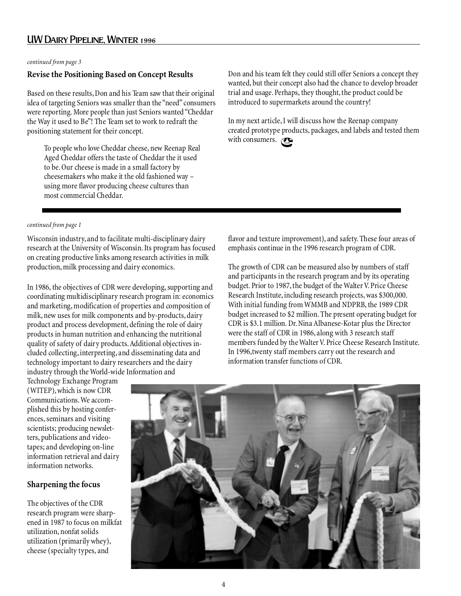### UW Dairy Pipeline, Winter 1996

*continued from page 3*

### **Revise the Positioning Based on Concept Results**

Based on these results, Don and his Team saw that their original idea of targeting Seniors was smaller than the "need" consumers were reporting. More people than just Seniors wanted "Cheddar the Way it used to Be"! The Team set to work to redraft the positioning statement for their concept.

To people who love Cheddar cheese, new Reenap Real Aged Cheddar offers the taste of Cheddar the it used to be. Our cheese is made in a small factory by cheesemakers who make it the old fashioned way – using more flavor producing cheese cultures than most commercial Cheddar.

Don and his team felt they could still offer Seniors a concept they wanted, but their concept also had the chance to develop broader trial and usage. Perhaps, they thought, the product could be introduced to supermarkets around the country!

with consumers.  $\mathcal{C}_{\scriptscriptstyle \!\mathit{CDR}}$ In my next article, I will discuss how the Reenap company created prototype products, packages, and labels and tested them

#### *continued from page 1*

Wisconsin industry, and to facilitate multi-disciplinary dairy research at the University of Wisconsin. Its program has focused on creating productive links among research activities in milk production, milk processing and dairy economics.

In 1986, the objectives of CDR were developing, supporting and coordinating multidisciplinary research program in: economics and marketing, modification of properties and composition of milk, new uses for milk components and by-products, dairy product and process development, defining the role of dairy products in human nutrition and enhancing the nutritional quality of safety of dairy products. Additional objectives included collecting, interpreting, and disseminating data and technology important to dairy researchers and the dairy industry through the World-wide Information and

flavor and texture improvement), and safety. These four areas of emphasis continue in the 1996 research program of CDR.

The growth of CDR can be measured also by numbers of staff and participants in the research program and by its operating budget. Prior to 1987, the budget of the Walter V. Price Cheese Research Institute, including research projects, was \$300,000. With initial funding from WMMB and NDPRB, the 1989 CDR budget increased to \$2 million. The present operating budget for CDR is \$3.1 million. Dr. Nina Albanese-Kotar plus the Director were the staff of CDR in 1986, along with 3 research staff members funded by the Walter V. Price Cheese Research Institute. In 1996,twenty staff members carry out the research and information transfer functions of CDR.

Technology Exchange Program (WITEP), which is now CDR Communications. We accomplished this by hosting conferences, seminars and visiting scientists; producing newsletters, publications and videotapes; and developing on-line information retrieval and dairy information networks.

### **Sharpening the focus**

The objectives of the CDR research program were sharpened in 1987 to focus on milkfat utilization, nonfat solids utilization (primarily whey), cheese (specialty types, and

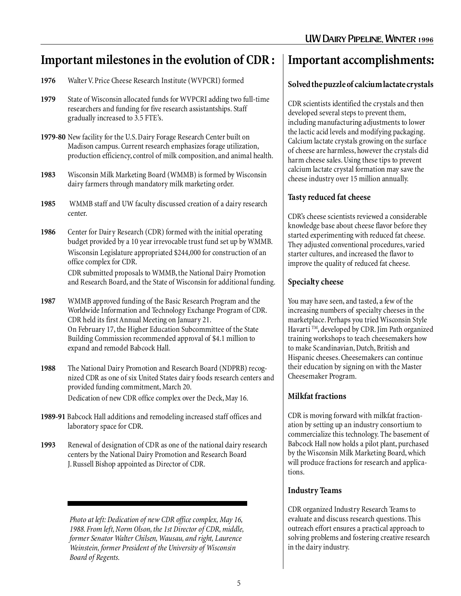### **Important milestones in the evolution of CDR :**

- **1976** Walter V. Price Cheese Research Institute (WVPCRI) formed
- **1979** State of Wisconsin allocated funds for WVPCRI adding two full-time researchers and funding for five research assistantships. Staff gradually increased to 3.5 FTE's.
- **1979-80** New facility for the U.S. Dairy Forage Research Center built on Madison campus. Current research emphasizes forage utilization, production efficiency, control of milk composition, and animal health.
- **1983** Wisconsin Milk Marketing Board (WMMB) is formed by Wisconsin dairy farmers through mandatory milk marketing order.
- **1985** WMMB staff and UW faculty discussed creation of a dairy research center.
- **1986** Center for Dairy Research (CDR) formed with the initial operating budget provided by a 10 year irrevocable trust fund set up by WMMB. Wisconsin Legislature appropriated \$244,000 for construction of an office complex for CDR.

CDR submitted proposals to WMMB, the National Dairy Promotion and Research Board, and the State of Wisconsin for additional funding.

- **1987** WMMB approved funding of the Basic Research Program and the Worldwide Information and Technology Exchange Program of CDR. CDR held its first Annual Meeting on January 21. On February 17, the Higher Education Subcommittee of the State Building Commission recommended approval of \$4.1 million to expand and remodel Babcock Hall.
- **1988** The National Dairy Promotion and Research Board (NDPRB) recognized CDR as one of six United States dairy foods research centers and provided funding commitment, March 20. Dedication of new CDR office complex over the Deck, May 16.
- **1989-91** Babcock Hall additions and remodeling increased staff offices and laboratory space for CDR.
- **1993** Renewal of designation of CDR as one of the national dairy research centers by the National Dairy Promotion and Research Board J. Russell Bishop appointed as Director of CDR.

*Photo at left: Dedication of new CDR office complex, May 16, 1988. From left, Norm Olson, the 1st Director of CDR, middle, former Senator Walter Chilsen, Wausau, and right, Laurence Weinstein, former President of the University of Wisconsin Board of Regents.*

### **Important accomplishments:**

### **Solved the puzzle of calcium lactate crystals**

CDR scientists identified the crystals and then developed several steps to prevent them, including manufacturing adjustments to lower the lactic acid levels and modifying packaging. Calcium lactate crystals growing on the surface of cheese are harmless, however the crystals did harm cheese sales. Using these tips to prevent calcium lactate crystal formation may save the cheese industry over 15 million annually.

### **Tasty reduced fat cheese**

CDR's cheese scientists reviewed a considerable knowledge base about cheese flavor before they started experimenting with reduced fat cheese. They adjusted conventional procedures, varied starter cultures, and increased the flavor to improve the quality of reduced fat cheese.

### **Specialty cheese**

You may have seen, and tasted, a few of the increasing numbers of specialty cheeses in the marketplace. Perhaps you tried Wisconsin Style Havarti ™, developed by CDR. Jim Path organized training workshops to teach cheesemakers how to make Scandinavian, Dutch, British and Hispanic cheeses. Cheesemakers can continue their education by signing on with the Master Cheesemaker Program.

### **Milkfat fractions**

CDR is moving forward with milkfat fractionation by setting up an industry consortium to commercialize this technology. The basement of Babcock Hall now holds a pilot plant, purchased by the Wisconsin Milk Marketing Board, which will produce fractions for research and applications.

### **Industry Teams**

CDR organized Industry Research Teams to evaluate and discuss research questions. This outreach effort ensures a practical approach to solving problems and fostering creative research in the dairy industry.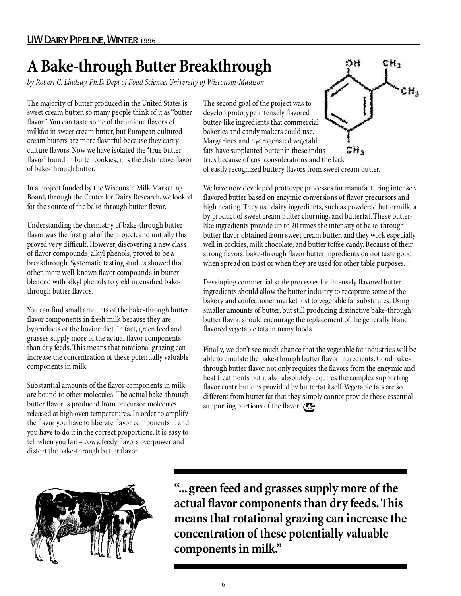## **A Bake-through Butter Breakthrough**

*by Robert C. Lindsay, Ph.D, Dept of Food Science, University of Wisconsin-Madison*

The majority of butter produced in the United States is sweet cream butter, so many people think of it as "butter flavor." You can taste some of the unique flavors of milkfat in sweet cream butter, but European cultured cream butters are more flavorful because they carry culture flavors. Now we have isolated the "true butter flavor" found in butter cookies, it is the distinctive flavor of bake-through butter.

In a project funded by the Wisconsin Milk Marketing Board, through the Center for Dairy Research, we looked for the source of the bake-through butter flavor.

Understanding the chemistry of bake-through butter flavor was the first goal of the project, and initially this proved very difficult. However, discovering a new class of flavor compounds, alkyl phenols, proved to be a breakthrough. Systematic tasting studies showed that other, more well-known flavor compounds in butter blended with alkyl phenols to yield intensified bakethrough butter flavors.

You can find small amounts of the bake-through butter flavor components in fresh milk because they are byproducts of the bovine diet. In fact, green feed and grasses supply more of the actual flavor components than dry feeds. This means that rotational grazing can increase the concentration of these potentially valuable components in milk.

Substantial amounts of the flavor components in milk are bound to other molecules. The actual bake-through butter flavor is produced from precursor molecules released at high oven temperatures. In order to amplify the flavor you have to liberate flavor components ... and you have to do it in the correct proportions. It is easy to tell when you fail – cowy, feedy flavors overpower and distort the bake-through butter flavor.



The second goal of the project was to develop prototype intensely flavored butter-like ingredients that commercial bakeries and candy makers could use. Margarines and hydrogenated vegetable fats have supplanted butter in these indus-GH. tries because of cost considerations and the lack of easily recognized buttery flavors from sweet cream butter.

CH<sub>1</sub>

CH<sub>3</sub>

ÖН

We have now developed prototype processes for manufacturing intensely flavored butter based on enzymic conversions of flavor precursors and high heating. They use dairy ingredients, such as powdered buttermilk, a by product of sweet cream butter churning, and butterfat. These butterlike ingredients provide up to 20 times the intensity of bake-through butter flavor obtained from sweet cream butter, and they work especially well in cookies, milk chocolate, and butter toffee candy. Because of their strong flavors, bake-through flavor butter ingredients do not taste good when spread on toast or when they are used for other table purposes.

Developing commercial scale processes for intensely flavored butter ingredients should allow the butter industry to recapture some of the bakery and confectioner market lost to vegetable fat substitutes. Using smaller amounts of butter, but still producing distinctive bake-through butter flavor, should encourage the replacement of the generally bland flavored vegetable fats in many foods.

Finally, we don't see much chance that the vegetable fat industries will be able to emulate the bake-through butter flavor ingredients. Good bakethrough butter flavor not only requires the flavors from the enzymic and heat treatments but it also absolutely requires the complex supporting flavor contributions provided by butterfat itself. Vegetable fats are so different from butter fat that they simply cannot provide those essential supporting portions of the flavor.

**"... green feed and grasses supply more of the actual flavor components than dry feeds. This means that rotational grazing can increase the concentration of these potentially valuable components in milk."**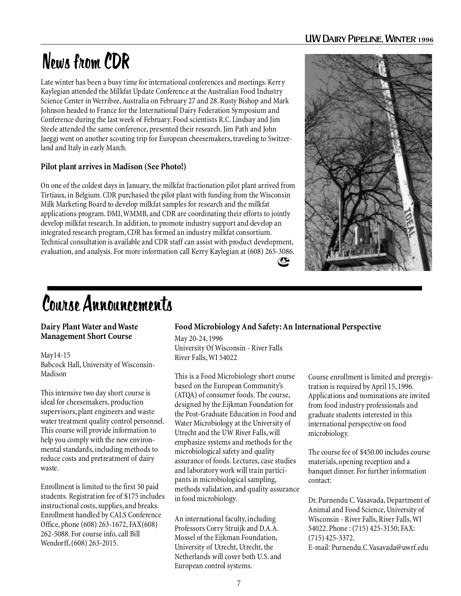### UW Dairy Pipeline, Winter 1996

# News from CDR

Late winter has been a busy time for international conferences and meetings. Kerry Kaylegian attended the Milkfat Update Conference at the Australian Food Industry Science Center in Werribee, Australia on February 27 and 28. Rusty Bishop and Mark Johnson headed to France for the International Dairy Federation Symposium and Conference during the last week of February. Food scientists R.C. Lindsay and Jim Steele attended the same conference, presented their research. Jim Path and John Jaeggi went on another scouting trip for European cheesemakers, traveling to Switzerland and Italy in early March.

### **Pilot plant arrives in Madison (See Photo!)**

On one of the coldest days in January, the milkfat fractionation pilot plant arrived from Tirtiaux, in Belgium. CDR purchased the pilot plant with funding from the Wisconsin Milk Marketing Board to develop milkfat samples for research and the milkfat applications program. DMI, WMMB, and CDR are coordinating their efforts to jointly develop milkfat research. In addition, to promote industry support and develop an integrated research program, CDR has formed an industry milkfat consortium. Technical consultation is available and CDR staff can assist with product development, evaluation, and analysis. For more information call Kerry Kaylegian at (608) 265-3086.



# Course Announcements

### **Dairy Plant Water and Waste Management Short Course**

May14-15 Babcock Hall, University of Wisconsin-Madison

This intensive two day short course is ideal for cheesemakers, production supervisors, plant engineers and waste water treatment quality control personnel. This course will provide information to help you comply with the new environmental standards, including methods to reduce costs and pretreatment of dairy waste.

Enrollment is limited to the first 50 paid students. Registration fee of \$175 includes instructional costs, supplies, and breaks. Enrollment handled by CALS Conference Office, phone (608) 263-1672, FAX(608) 262-5088. For course info, call Bill Wendorff, (608) 263-2015.

### **Food Microbiology And Safety: An International Perspective**

CDR

May 20-24, 1996 University Of Wisconsin - River Falls River Falls, WI 54022

This is a Food Microbiology short course based on the European Community's (ATQA) of consumer foods. The course, designed by the Eijkman Foundation for the Post-Graduate Education in Food and Water Microbiology at the University of Utrecht and the UW River Falls, will emphasize systems and methods for the microbiological safety and quality assurance of foods. Lectures, case studies and laboratory work will train participants in microbiological sampling, methods validation, and quality assurance in food microbiology.

An international faculty, including Professors Corry Struijk and D.A.A. Mossel of the Eijkman Foundation, University of Utrecht, Utrecht, the Netherlands will cover both U.S. and European control systems.

Course enrollment is limited and preregistration is required by April 15, 1996. Applications and nominations are invited from food industry professionals and graduate students interested in this international perspective on food microbiology.

The course fee of \$450.00 includes course materials, opening reception and a banquet dinner. For further information contact:

Dr. Purnendu C. Vasavada, Department of Animal and Food Science, University of Wisconsin - River Falls, River Falls, WI 54022. Phone : (715) 425-3150; FAX: (715) 425-3372. E-mail: Purnendu.C.Vasavada@uwrf.edu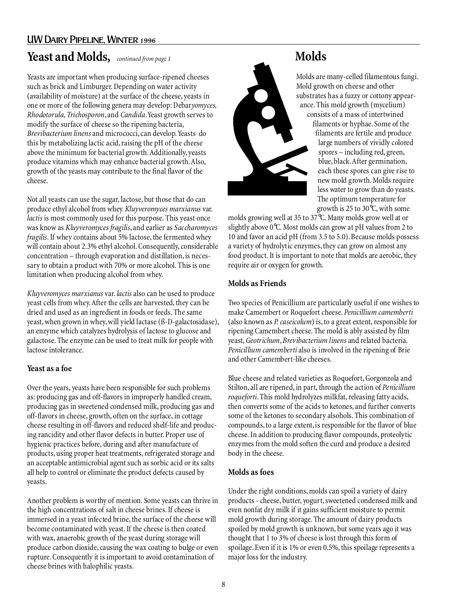### UW Dairy Pipeline, Winter 1996

### **Yeast and Molds,** *continued from page 1*

Yeasts are important when producing surface-ripened cheeses such as brick and Limburger. Depending on water activity (availability of moisture) at the surface of the cheese, yeasts in one or more of the following genera may develop: Debar*yomyces, Rhodotorula, Trichosporon*, and *Candida*. Yeast growth serves to modify the surface of cheese so the ripening bacteria, *Brevibacterium linens* and micrococci, can develop. Yeasts do this by metabolizing lactic acid, raising the pH of the cheese above the minimum for bacterial growth. Additionally, yeasts produce vitamins which may enhance bacterial growth. Also, growth of the yeasts may contribute to the final flavor of the cheese.

Not all yeasts can use the sugar, lactose, but those that do can produce ethyl alcohol from whey. *Kluyveromyces marxianus* var. *lactis* is most commonly used for this purpose. This yeast once was know as *Kluyveromyces fragilis*, and earlier as *Saccharomyces fragilis*. If whey contains about 5% lactose, the fermented whey will contain about 2.3% ethyl alcohol. Consequently, considerable concentration – through evaporation and distillation, is necessary to obtain a product with 70% or more alcohol. This is one limitation when producing alcohol from whey.

*Kluyveromyces marxianus* var. *lactis* also can be used to produce yeast cells from whey. After the cells are harvested, they can be dried and used as an ingredient in foods or feeds. The same yeast, when grown in whey, will yield lactase (ß-D-galactosidase), an enzyme which catalyzes hydrolysis of lactose to glucose and galactose. The enzyme can be used to treat milk for people with lactose intolerance.

### **Yeast as a foe**

Over the years, yeasts have been responsible for such problems as: producing gas and off-flavors in improperly handled cream, producing gas in sweetened condensed milk, producing gas and off-flavors in cheese, growth, often on the surface, in cottage cheese resulting in off-flavors and reduced shelf-life and producing rancidity and other flavor defects in butter. Proper use of hygienic practices before, during and after manufacture of products, using proper heat treatments, refrigerated storage and an acceptable antimicrobial agent such as sorbic acid or its salts all help to control or eliminate the product defects caused by yeasts.

Another problem is worthy of mention. Some yeasts can thrive in the high concentrations of salt in cheese brines. If cheese is immersed in a yeast infected brine, the surface of the cheese will become contaminated with yeast. If the cheese is then coated with wax, anaerobic growth of the yeast during storage will produce carbon dioxide, causing the wax coating to bulge or even rupture. Consequently it is important to avoid contamination of cheese brines with halophilic yeasts.



### **Molds**

Molds are many-celled filamentous fungi. Mold growth on cheese and other substrates has a fuzzy or cottony appearance. This mold growth (mycelium) consists of a mass of intertwined

filaments or hyphae. Some of the filaments are fertile and produce large numbers of vividly colored spores – including red, green, blue, black. After germination, each these spores can give rise to new mold growth. Molds require less water to grow than do yeasts. The optimum temperature for growth is 25 to 30°C, with some

molds growing well at 35 to 37°C. Many molds grow well at or slightly above 0°C. Most molds can grow at pH values from 2 to 10 and favor an acid pH (from 3.5 to 5.0). Because molds possess a variety of hydrolytic enzymes, they can grow on almost any food product. It is important to note that molds are aerobic, they require air or oxygen for growth.

### **Molds as Friends**

Two species of Penicillium are particularly useful if one wishes to make Camembert or Roquefort cheese. *Penicillium camemberti* (also known as *P. caseicolum*) is, to a great extent, responsible for ripening Camembert cheese. The mold is ably assisted by film yeast, *Geotrichum*, *Brevibacterium linens* and related bacteria. *Penicillium camemberti* also is involved in the ripening of Brie and other Camembert-like cheeses.

Blue cheese and related varieties as Roquefort, Gorgonzola and Stilton, all are ripened, in part, through the action of *Penicillium roqueforti*. This mold hydrolyzes milkfat, releasing fatty acids, then converts some of the acids to ketones, and further converts some of the ketones to secondary alsohols. This combination of compounds, to a large extent, is responsible for the flavor of blue cheese. In addition to producing flavor compounds, proteolytic enzymes from the mold soften the curd and produce a desired body in the cheese.

### **Molds as foes**

Under the right conditions, molds can spoil a variety of dairy products - cheese, butter, yogurt, sweetened condensed milk and even nonfat dry milk if it gains sufficient moisture to permit mold growth during storage. The amount of dairy products spoiled by mold growth is unknown, but some years ago it was thought that 1 to 3% of cheese is lost through this form of spoilage. Even if it is 1% or even 0.5%, this spoilage represents a major loss for the industry.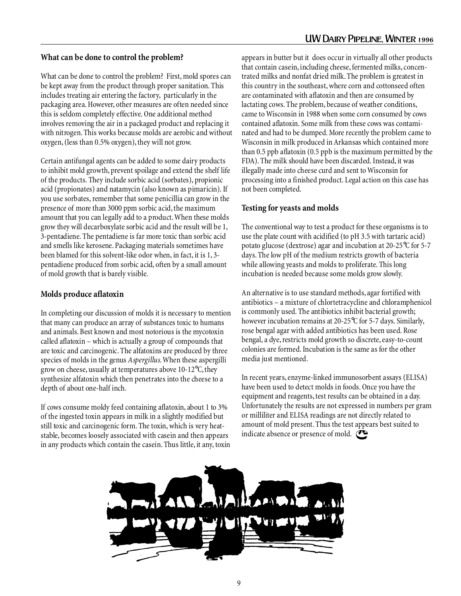#### **What can be done to control the problem?**

What can be done to control the problem? First, mold spores can be kept away from the product through proper sanitation. This includes treating air entering the factory, particularly in the packaging area. However, other measures are often needed since this is seldom completely effective. One additional method involves removing the air in a packaged product and replacing it with nitrogen. This works because molds are aerobic and without oxygen, (less than 0.5% oxygen), they will not grow.

Certain antifungal agents can be added to some dairy products to inhibit mold growth, prevent spoilage and extend the shelf life of the products. They include sorbic acid (sorbates), propionic acid (propionates) and natamycin (also known as pimaricin). If you use sorbates, remember that some penicillia can grow in the presence of more than 3000 ppm sorbic acid, the maximum amount that you can legally add to a product. When these molds grow they will decarboxylate sorbic acid and the result will be 1, 3-pentadiene. The pentadiene is far more toxic than sorbic acid and smells like kerosene. Packaging materials sometimes have been blamed for this solvent-like odor when, in fact, it is 1, 3 pentadiene produced from sorbic acid, often by a small amount of mold growth that is barely visible.

#### **Molds produce aflatoxin**

In completing our discussion of molds it is necessary to mention that many can produce an array of substances toxic to humans and animals. Best known and most notorious is the mycotoxin called aflatoxin – which is actually a group of compounds that are toxic and carcinogenic. The alfatoxins are produced by three species of molds in the genus *Aspergillus*. When these aspergilli grow on cheese, usually at temperatures above 10-12°C, they synthesize alfatoxin which then penetrates into the cheese to a depth of about one-half inch.

If cows consume moldy feed containing aflatoxin, about 1 to 3% of the ingested toxin appears in milk in a slightly modified but still toxic and carcinogenic form. The toxin, which is very heatstable, becomes loosely associated with casein and then appears in any products which contain the casein. Thus little, it any, toxin

appears in butter but it does occur in virtually all other products that contain casein, including cheese, fermented milks, concentrated milks and nonfat dried milk. The problem is greatest in this country in the southeast, where corn and cottonseed often are contaminated with aflatoxin and then are consumed by lactating cows. The problem, because of weather conditions, came to Wisconsin in 1988 when some corn consumed by cows contained aflatoxin. Some milk from these cows was contaminated and had to be dumped. More recently the problem came to Wisconsin in milk produced in Arkansas which contained more than 0.5 ppb aflatoxin (0.5 ppb is the maximum permitted by the FDA). The milk should have been discarded. Instead, it was illegally made into cheese curd and sent to Wisconsin for processing into a finished product. Legal action on this case has not been completed.

#### **Testing for yeasts and molds**

The conventional way to test a product for these organisms is to use the plate count with acidified (to pH 3.5 with tartaric acid) potato glucose (dextrose) agar and incubation at 20-25°C for 5-7 days. The low pH of the medium restricts growth of bacteria while allowing yeasts and molds to proliferate. This long incubation is needed because some molds grow slowly.

An alternative is to use standard methods, agar fortified with antibiotics – a mixture of chlortetracycline and chloramphenicol is commonly used. The antibiotics inhibit bacterial growth; however incubation remains at 20-25°C for 5-7 days. Similarly, rose bengal agar with added antibiotics has been used. Rose bengal, a dye, restricts mold growth so discrete, easy-to-count colonies are formed. Incubation is the same as for the other media just mentioned.

In recent years, enzyme-linked immunosorbent assays (ELISA) have been used to detect molds in foods. Once you have the equipment and reagents, test results can be obtained in a day. Unfortunately the results are not expressed in numbers per gram or milliliter and ELISA readings are not directly related to amount of mold present. Thus the test appears best suited to indicate absence or presence of mold.

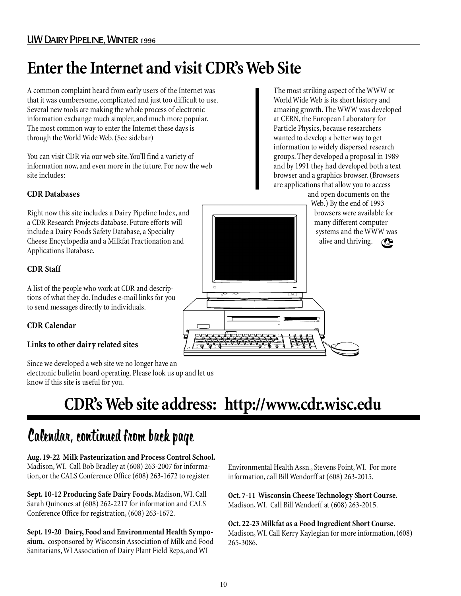## **Enter the Internet and visit CDR's Web Site**

A common complaint heard from early users of the Internet was that it was cumbersome, complicated and just too difficult to use. Several new tools are making the whole process of electronic information exchange much simpler, and much more popular. The most common way to enter the Internet these days is through the World Wide Web. (See sidebar)

You can visit CDR via our web site. You'll find a variety of information now, and even more in the future. For now the web site includes:

### **CDR Databases**

Right now this site includes a Dairy Pipeline Index, and a CDR Research Projects database. Future efforts will include a Dairy Foods Safety Database, a Specialty Cheese Encyclopedia and a Milkfat Fractionation and Applications Database.

### **CDR Staff**

A list of the people who work at CDR and descriptions of what they do. Includes e-mail links for you to send messages directly to individuals.

### **CDR Calendar**

### **Links to other dairy related sites**

Since we developed a web site we no longer have an electronic bulletin board operating. Please look us up and let us know if this site is useful for you.

The most striking aspect of the WWW or World Wide Web is its short history and amazing growth. The WWW was developed at CERN, the European Laboratory for Particle Physics, because researchers wanted to develop a better way to get information to widely dispersed research groups. They developed a proposal in 1989 and by 1991 they had developed both a text browser and a graphics browser. (Browsers are applications that allow you to access

> alive and thriving.  $\mathbb{C}_{\text{CDE}}$ and open documents on the Web.) By the end of 1993 browsers were available for many different computer systems and the WWW was

# **CDR's Web site address: http://www.cdr.wisc.edu**

### Calendar, continued from back page

**Aug. 19-22 Milk Pasteurization and Process Control School.** Madison, WI. Call Bob Bradley at (608) 263-2007 for information, or the CALS Conference Office (608) 263-1672 to register.

**Sept. 10-12 Producing Safe Dairy Foods.** Madison, WI. Call Sarah Quinones at (608) 262-2217 for information and CALS Conference Office for registration, (608) 263-1672.

**Sept. 19-20 Dairy, Food and Environmental Health Symposium.** cosponsored by Wisconsin Association of Milk and Food Sanitarians, WI Association of Dairy Plant Field Reps, and WI

Environmental Health Assn., Stevens Point, WI. For more information, call Bill Wendorff at (608) 263-2015.

**Oct. 7-11 Wisconsin Cheese Technology Short Course.** Madison, WI. Call Bill Wendorff at (608) 263-2015.

**Oct. 22-23 Milkfat as a Food Ingredient Short Course**. Madison, WI. Call Kerry Kaylegian for more information, (608) 265-3086.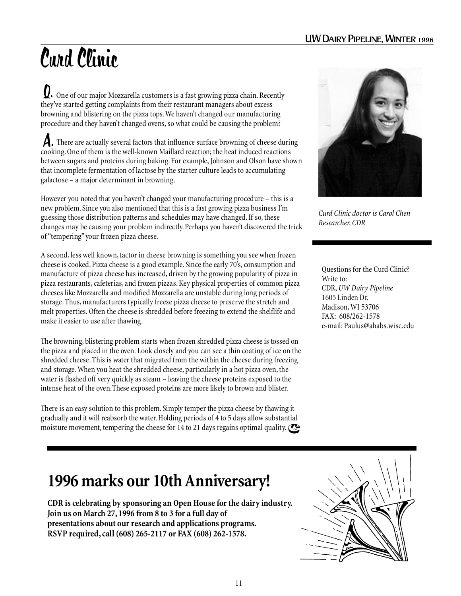# Curd Clinic

 One of our major Mozzarella customers is a fast growing pizza chain. Recently Q. they've started getting complaints from their restaurant managers about excess browning and blistering on the pizza tops. We haven't changed our manufacturing procedure and they haven't changed ovens, so what could be causing the problem?

A. There are actually several factors that influence surface browning of cheese during cooking. One of them is the well-known Maillard reaction; the heat induced reactions between sugars and proteins during baking. For example, Johnson and Olson have shown that incomplete fermentation of lactose by the starter culture leads to accumulating galactose – a major determinant in browning.

However you noted that you haven't changed your manufacturing procedure – this is a new problem. Since you also mentioned that this is a fast growing pizza business I'm guessing those distribution patterns and schedules may have changed. If so, these changes may be causing your problem indirectly. Perhaps you haven't discovered the trick of "tempering" your frozen pizza cheese.

A second, less well known, factor in cheese browning is something you see when frozen cheese is cooked. Pizza cheese is a good example. Since the early 70's, consumption and manufacture of pizza cheese has increased, driven by the growing popularity of pizza in pizza restaurants, cafeterias, and frozen pizzas. Key physical properties of common pizza cheeses like Mozzarella and modified Mozzarella are unstable during long periods of storage. Thus, manufacturers typically freeze pizza cheese to preserve the stretch and melt properties. Often the cheese is shredded before freezing to extend the shelflife and make it easier to use after thawing.

The browning, blistering problem starts when frozen shredded pizza cheese is tossed on the pizza and placed in the oven. Look closely and you can see a thin coating of ice on the shredded cheese. This is water that migrated from the within the cheese during freezing and storage. When you heat the shredded cheese, particularly in a hot pizza oven, the water is flashed off very quickly as steam – leaving the cheese proteins exposed to the intense heat of the oven.These exposed proteins are more likely to brown and blister.

There is an easy solution to this problem. Simply temper the pizza cheese by thawing it gradually and it will reabsorb the water. Holding periods of 4 to 5 days allow substantial moisture movement, tempering the cheese for 14 to 21 days regains optimal quality.  $\bigcirc$ 



*Curd Clinic doctor is Carol Chen Researcher, CDR*

Questions for the Curd Clinic? Write to: CDR, *UW Dairy Pipeline* 1605 Linden Dr. Madison, WI 53706  $FAX: 608/262 - 1578$ e-mail: Paulus@ahabs.wisc.edu

### **1996 marks our 10th Anniversary!**

**CDR is celebrating by sponsoring an Open House for the dairy industry. Join us on March 27, 1996 from 8 to 3 for a full day of presentations about our research and applications programs. RSVP required, call (608) 265-2117 or FAX (608) 262-1578.**